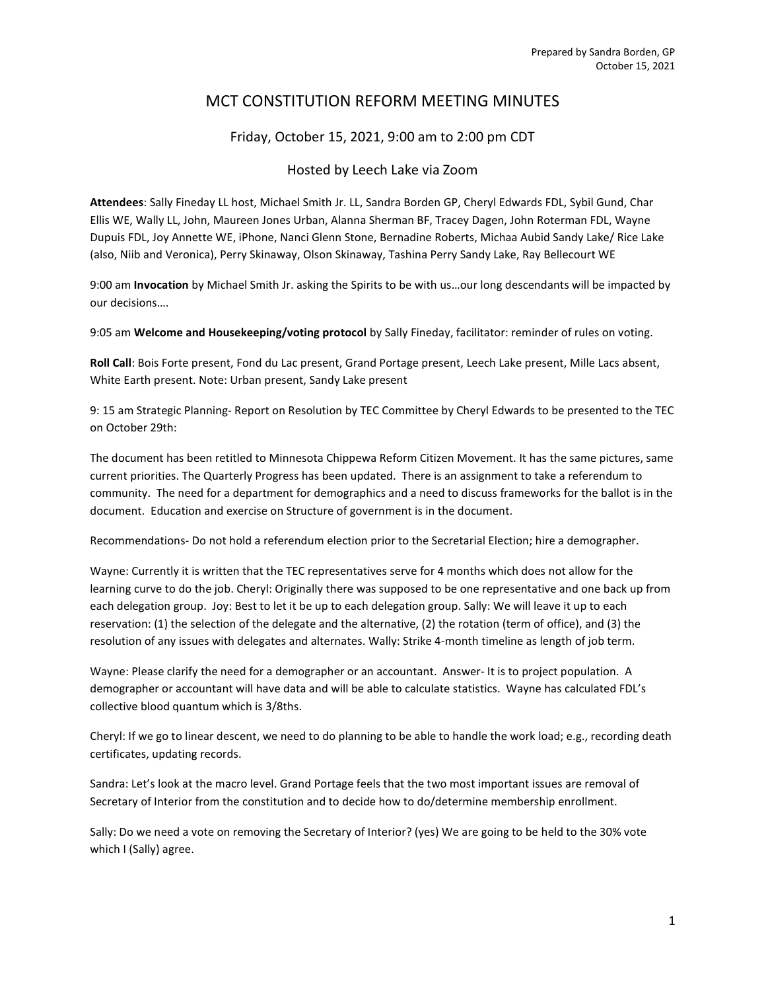# MCT CONSTITUTION REFORM MEETING MINUTES

## Friday, October 15, 2021, 9:00 am to 2:00 pm CDT

### Hosted by Leech Lake via Zoom

Attendees: Sally Fineday LL host, Michael Smith Jr. LL, Sandra Borden GP, Cheryl Edwards FDL, Sybil Gund, Char Ellis WE, Wally LL, John, Maureen Jones Urban, Alanna Sherman BF, Tracey Dagen, John Roterman FDL, Wayne Dupuis FDL, Joy Annette WE, iPhone, Nanci Glenn Stone, Bernadine Roberts, Michaa Aubid Sandy Lake/ Rice Lake (also, Niib and Veronica), Perry Skinaway, Olson Skinaway, Tashina Perry Sandy Lake, Ray Bellecourt WE

9:00 am Invocation by Michael Smith Jr. asking the Spirits to be with us...our long descendants will be impacted by our decisions….

9:05 am Welcome and Housekeeping/voting protocol by Sally Fineday, facilitator: reminder of rules on voting.

Roll Call: Bois Forte present, Fond du Lac present, Grand Portage present, Leech Lake present, Mille Lacs absent, White Earth present. Note: Urban present, Sandy Lake present

9: 15 am Strategic Planning- Report on Resolution by TEC Committee by Cheryl Edwards to be presented to the TEC on October 29th:

The document has been retitled to Minnesota Chippewa Reform Citizen Movement. It has the same pictures, same current priorities. The Quarterly Progress has been updated. There is an assignment to take a referendum to community. The need for a department for demographics and a need to discuss frameworks for the ballot is in the document. Education and exercise on Structure of government is in the document.

Recommendations- Do not hold a referendum election prior to the Secretarial Election; hire a demographer.

Wayne: Currently it is written that the TEC representatives serve for 4 months which does not allow for the learning curve to do the job. Cheryl: Originally there was supposed to be one representative and one back up from each delegation group. Joy: Best to let it be up to each delegation group. Sally: We will leave it up to each reservation: (1) the selection of the delegate and the alternative, (2) the rotation (term of office), and (3) the resolution of any issues with delegates and alternates. Wally: Strike 4-month timeline as length of job term.

Wayne: Please clarify the need for a demographer or an accountant. Answer- It is to project population. A demographer or accountant will have data and will be able to calculate statistics. Wayne has calculated FDL's collective blood quantum which is 3/8ths.

Cheryl: If we go to linear descent, we need to do planning to be able to handle the work load; e.g., recording death certificates, updating records.

Sandra: Let's look at the macro level. Grand Portage feels that the two most important issues are removal of Secretary of Interior from the constitution and to decide how to do/determine membership enrollment.

Sally: Do we need a vote on removing the Secretary of Interior? (yes) We are going to be held to the 30% vote which I (Sally) agree.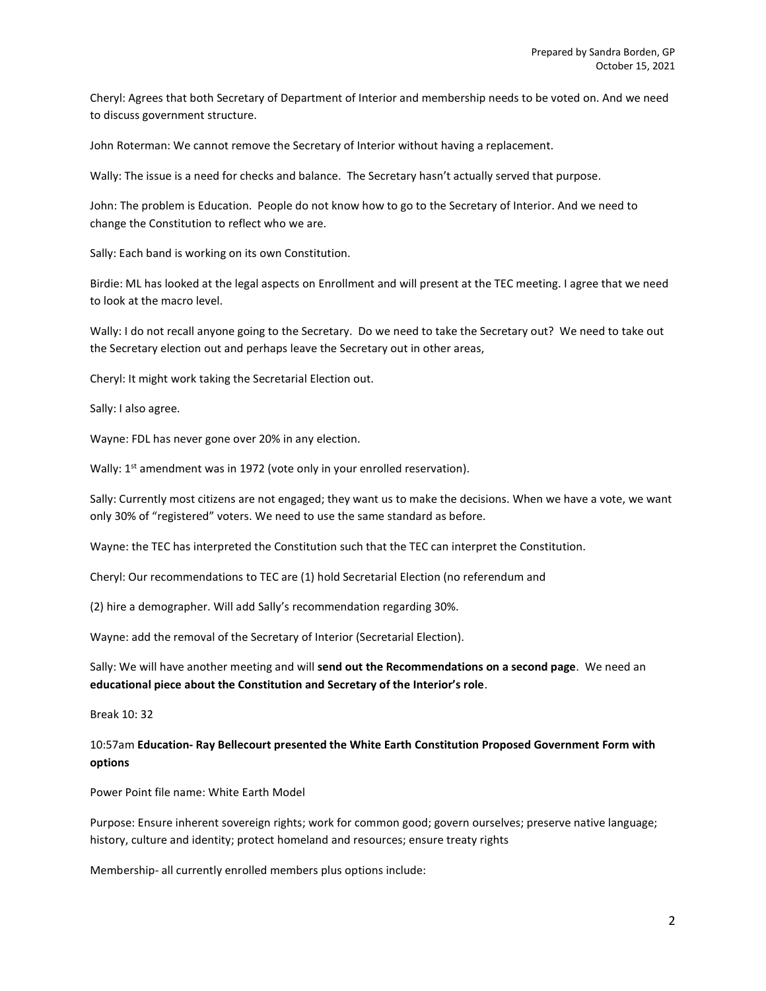Cheryl: Agrees that both Secretary of Department of Interior and membership needs to be voted on. And we need to discuss government structure.

John Roterman: We cannot remove the Secretary of Interior without having a replacement.

Wally: The issue is a need for checks and balance. The Secretary hasn't actually served that purpose.

John: The problem is Education. People do not know how to go to the Secretary of Interior. And we need to change the Constitution to reflect who we are.

Sally: Each band is working on its own Constitution.

Birdie: ML has looked at the legal aspects on Enrollment and will present at the TEC meeting. I agree that we need to look at the macro level.

Wally: I do not recall anyone going to the Secretary. Do we need to take the Secretary out? We need to take out the Secretary election out and perhaps leave the Secretary out in other areas,

Cheryl: It might work taking the Secretarial Election out.

Sally: I also agree.

Wayne: FDL has never gone over 20% in any election.

Wally: 1<sup>st</sup> amendment was in 1972 (vote only in your enrolled reservation).

Sally: Currently most citizens are not engaged; they want us to make the decisions. When we have a vote, we want only 30% of "registered" voters. We need to use the same standard as before.

Wayne: the TEC has interpreted the Constitution such that the TEC can interpret the Constitution.

Cheryl: Our recommendations to TEC are (1) hold Secretarial Election (no referendum and

(2) hire a demographer. Will add Sally's recommendation regarding 30%.

Wayne: add the removal of the Secretary of Interior (Secretarial Election).

Sally: We will have another meeting and will send out the Recommendations on a second page. We need an educational piece about the Constitution and Secretary of the Interior's role.

Break 10: 32

### 10:57am Education- Ray Bellecourt presented the White Earth Constitution Proposed Government Form with options

Power Point file name: White Earth Model

Purpose: Ensure inherent sovereign rights; work for common good; govern ourselves; preserve native language; history, culture and identity; protect homeland and resources; ensure treaty rights

Membership- all currently enrolled members plus options include: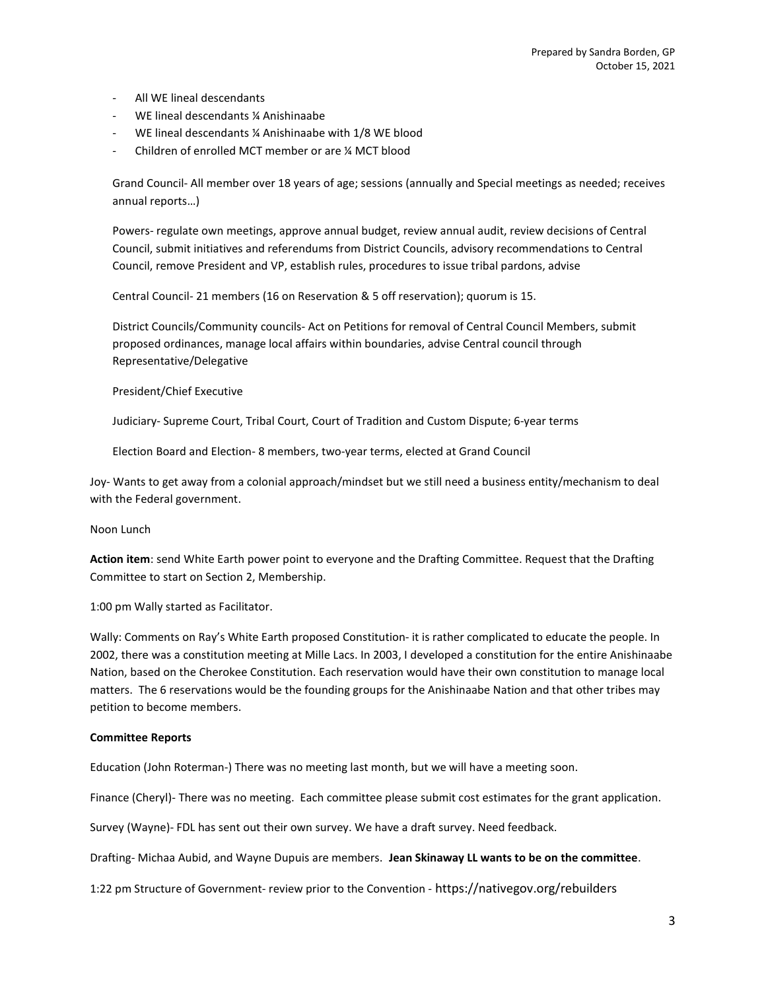- All WE lineal descendants
- WE lineal descendants ¼ Anishinaabe
- WE lineal descendants ¼ Anishinaabe with 1/8 WE blood
- Children of enrolled MCT member or are ¼ MCT blood

Grand Council- All member over 18 years of age; sessions (annually and Special meetings as needed; receives annual reports…)

Powers- regulate own meetings, approve annual budget, review annual audit, review decisions of Central Council, submit initiatives and referendums from District Councils, advisory recommendations to Central Council, remove President and VP, establish rules, procedures to issue tribal pardons, advise

Central Council- 21 members (16 on Reservation & 5 off reservation); quorum is 15.

District Councils/Community councils- Act on Petitions for removal of Central Council Members, submit proposed ordinances, manage local affairs within boundaries, advise Central council through Representative/Delegative

President/Chief Executive

Judiciary- Supreme Court, Tribal Court, Court of Tradition and Custom Dispute; 6-year terms

Election Board and Election- 8 members, two-year terms, elected at Grand Council

Joy- Wants to get away from a colonial approach/mindset but we still need a business entity/mechanism to deal with the Federal government.

#### Noon Lunch

Action item: send White Earth power point to everyone and the Drafting Committee. Request that the Drafting Committee to start on Section 2, Membership.

1:00 pm Wally started as Facilitator.

Wally: Comments on Ray's White Earth proposed Constitution- it is rather complicated to educate the people. In 2002, there was a constitution meeting at Mille Lacs. In 2003, I developed a constitution for the entire Anishinaabe Nation, based on the Cherokee Constitution. Each reservation would have their own constitution to manage local matters. The 6 reservations would be the founding groups for the Anishinaabe Nation and that other tribes may petition to become members.

#### Committee Reports

Education (John Roterman-) There was no meeting last month, but we will have a meeting soon.

Finance (Cheryl)- There was no meeting. Each committee please submit cost estimates for the grant application.

Survey (Wayne)- FDL has sent out their own survey. We have a draft survey. Need feedback.

Drafting- Michaa Aubid, and Wayne Dupuis are members. Jean Skinaway LL wants to be on the committee.

1:22 pm Structure of Government- review prior to the Convention - https://nativegov.org/rebuilders